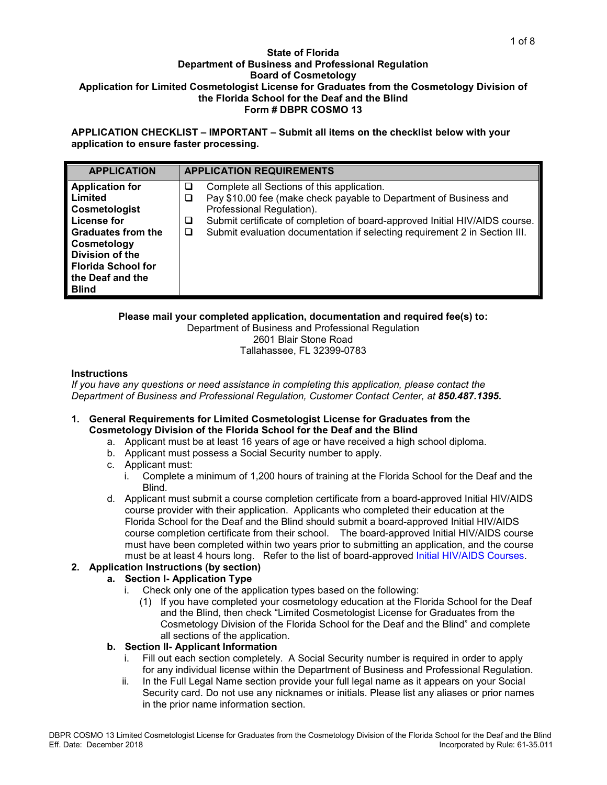#### **State of Florida Department of Business and Professional Regulation Board of Cosmetology Application for Limited Cosmetologist License for Graduates from the Cosmetology Division of the Florida School for the Deaf and the Blind Form # DBPR COSMO 13**

**APPLICATION CHECKLIST – IMPORTANT – Submit all items on the checklist below with your application to ensure faster processing.**

| <b>APPLICATION</b>        | <b>APPLICATION REQUIREMENTS</b> |                                                                             |  |
|---------------------------|---------------------------------|-----------------------------------------------------------------------------|--|
| <b>Application for</b>    | ⊔                               | Complete all Sections of this application.                                  |  |
| Limited                   | ⊔                               | Pay \$10.00 fee (make check payable to Department of Business and           |  |
| Cosmetologist             |                                 | Professional Regulation).                                                   |  |
| License for               | ⊔                               | Submit certificate of completion of board-approved Initial HIV/AIDS course. |  |
| <b>Graduates from the</b> | ⊔                               | Submit evaluation documentation if selecting requirement 2 in Section III.  |  |
| Cosmetology               |                                 |                                                                             |  |
| Division of the           |                                 |                                                                             |  |
| <b>Florida School for</b> |                                 |                                                                             |  |
| the Deaf and the          |                                 |                                                                             |  |
| <b>Blind</b>              |                                 |                                                                             |  |

### **Please mail your completed application, documentation and required fee(s) to:**

Department of Business and Professional Regulation 2601 Blair Stone Road Tallahassee, FL 32399-0783

### **Instructions**

*If you have any questions or need assistance in completing this application, please contact the Department of Business and Professional Regulation, Customer Contact Center, at 850.487.1395.*

### **1. General Requirements for Limited Cosmetologist License for Graduates from the Cosmetology Division of the Florida School for the Deaf and the Blind**

- a. Applicant must be at least 16 years of age or have received a high school diploma.
- b. Applicant must possess a Social Security number to apply.
- c. Applicant must:
	- i. Complete a minimum of 1,200 hours of training at the Florida School for the Deaf and the Blind.
- d. Applicant must submit a course completion certificate from a board-approved Initial HIV/AIDS course provider with their application. Applicants who completed their education at the Florida School for the Deaf and the Blind should submit a board-approved Initial HIV/AIDS course completion certificate from their school. The board-approved Initial HIV/AIDS course must have been completed within two years prior to submitting an application, and the course must be at least 4 hours long. Refer to the list of board-approved [Initial HIV/AIDS Courses.](http://www.myfloridalicense.com/dbpr/servop/testing/documents/hiv_prov_crs.pdf)

## **2. Application Instructions (by section)**

## **a. Section I- Application Type**

- i. Check only one of the application types based on the following:
	- (1) If you have completed your cosmetology education at the Florida School for the Deaf and the Blind, then check "Limited Cosmetologist License for Graduates from the Cosmetology Division of the Florida School for the Deaf and the Blind" and complete all sections of the application.

## **b. Section II- Applicant Information**

- i. Fill out each section completely. A Social Security number is required in order to apply for any individual license within the Department of Business and Professional Regulation.
- ii. In the Full Legal Name section provide your full legal name as it appears on your Social Security card. Do not use any nicknames or initials. Please list any aliases or prior names in the prior name information section.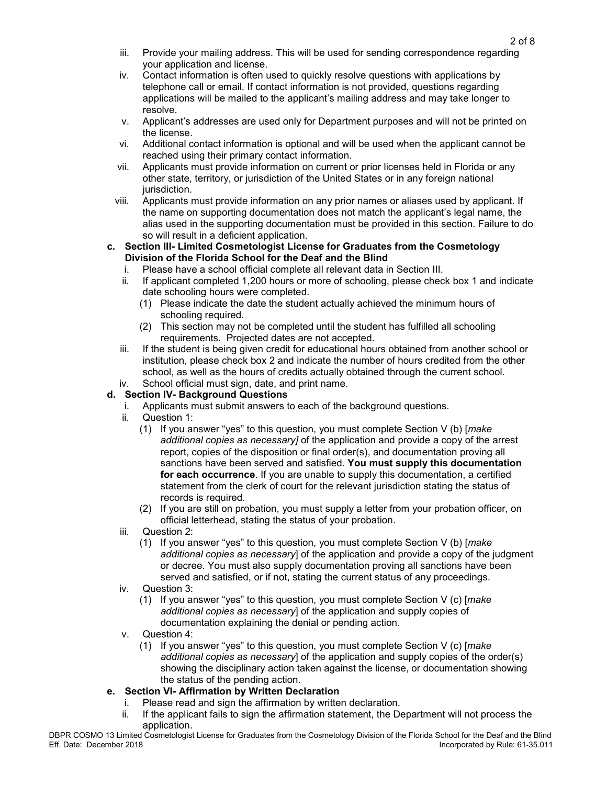- iii. Provide your mailing address. This will be used for sending correspondence regarding your application and license.
- iv. Contact information is often used to quickly resolve questions with applications by telephone call or email. If contact information is not provided, questions regarding applications will be mailed to the applicant's mailing address and may take longer to resolve.
- v. Applicant's addresses are used only for Department purposes and will not be printed on the license.
- vi. Additional contact information is optional and will be used when the applicant cannot be reached using their primary contact information.
- vii. Applicants must provide information on current or prior licenses held in Florida or any other state, territory, or jurisdiction of the United States or in any foreign national jurisdiction.
- viii. Applicants must provide information on any prior names or aliases used by applicant. If the name on supporting documentation does not match the applicant's legal name, the alias used in the supporting documentation must be provided in this section. Failure to do so will result in a deficient application.
- **c. Section III- Limited Cosmetologist License for Graduates from the Cosmetology Division of the Florida School for the Deaf and the Blind**
	- i. Please have a school official complete all relevant data in Section III.
	- ii. If applicant completed 1,200 hours or more of schooling, please check box 1 and indicate date schooling hours were completed.
		- (1) Please indicate the date the student actually achieved the minimum hours of schooling required.
		- (2) This section may not be completed until the student has fulfilled all schooling requirements. Projected dates are not accepted.
	- iii. If the student is being given credit for educational hours obtained from another school or institution, please check box 2 and indicate the number of hours credited from the other school, as well as the hours of credits actually obtained through the current school.
	- iv. School official must sign, date, and print name.

# **d. Section IV- Background Questions**

- i. Applicants must submit answers to each of the background questions.
- Question 1:
	- (1) If you answer "yes" to this question, you must complete Section V (b) [*make additional copies as necessary]* of the application and provide a copy of the arrest report, copies of the disposition or final order(s), and documentation proving all sanctions have been served and satisfied. **You must supply this documentation for each occurrence**. If you are unable to supply this documentation, a certified statement from the clerk of court for the relevant jurisdiction stating the status of records is required.
	- (2) If you are still on probation, you must supply a letter from your probation officer, on official letterhead, stating the status of your probation.
- iii. Question 2:
	- (1) If you answer "yes" to this question, you must complete Section V (b) [*make additional copies as necessary*] of the application and provide a copy of the judgment or decree. You must also supply documentation proving all sanctions have been served and satisfied, or if not, stating the current status of any proceedings.
- iv. Question 3:
	- (1) If you answer "yes" to this question, you must complete Section V (c) [*make additional copies as necessary*] of the application and supply copies of documentation explaining the denial or pending action.
- v. Question 4:
	- (1) If you answer "yes" to this question, you must complete Section V (c) [*make additional copies as necessary*] of the application and supply copies of the order(s) showing the disciplinary action taken against the license, or documentation showing the status of the pending action.
- **e. Section VI- Affirmation by Written Declaration**
	- i. Please read and sign the affirmation by written declaration.
	- ii. If the applicant fails to sign the affirmation statement, the Department will not process the application.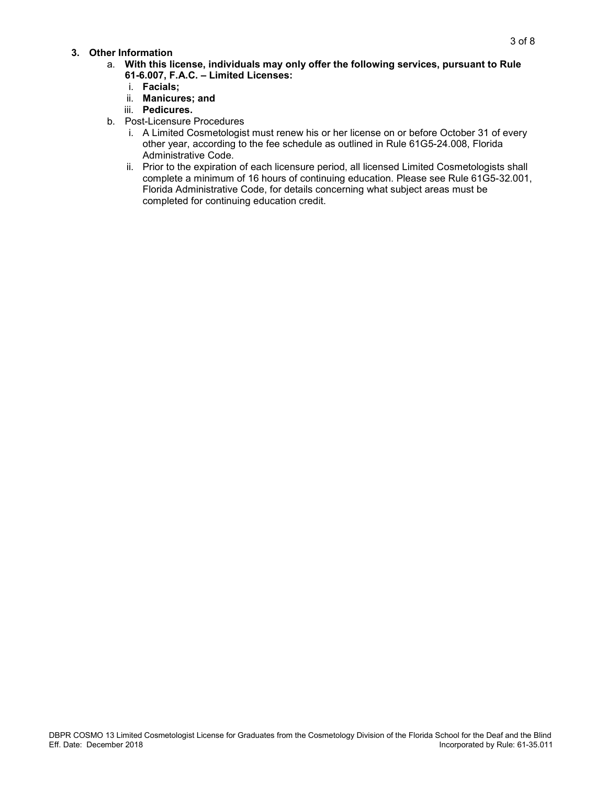### **3. Other Information**

- a. **With this license, individuals may only offer the following services, pursuant to Rule 61-6.007, F.A.C. – Limited Licenses:**
	- i. **Facials;**
	- ii. **Manicures; and**
	- iii. **Pedicures.**
- b. Post-Licensure Procedures
	- i. A Limited Cosmetologist must renew his or her license on or before October 31 of every other year, according to the fee schedule as outlined in Rule 61G5-24.008, Florida Administrative Code.
	- ii. Prior to the expiration of each licensure period, all licensed Limited Cosmetologists shall complete a minimum of 16 hours of continuing education. Please see Rule 61G5-32.001, Florida Administrative Code, for details concerning what subject areas must be completed for continuing education credit.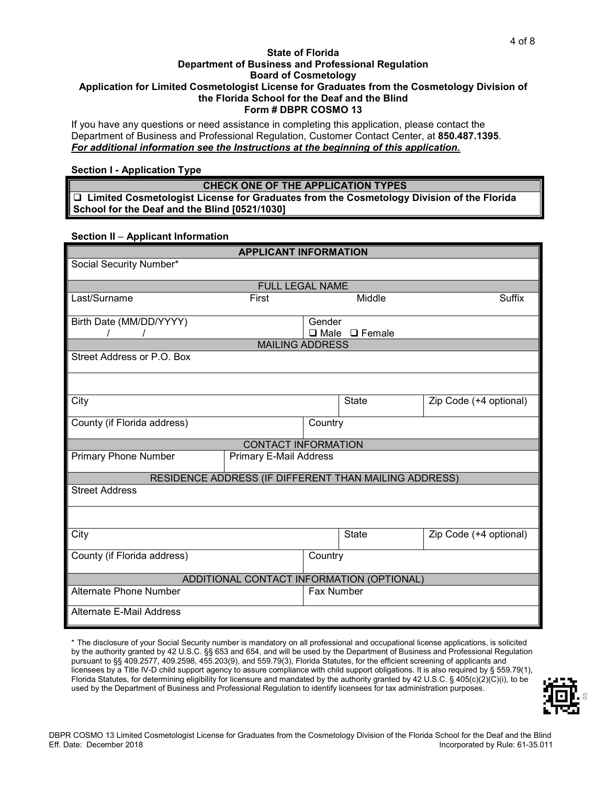#### **State of Florida Department of Business and Professional Regulation Board of Cosmetology Application for Limited Cosmetologist License for Graduates from the Cosmetology Division of the Florida School for the Deaf and the Blind Form # DBPR COSMO 13**

If you have any questions or need assistance in completing this application, please contact the Department of Business and Professional Regulation, Customer Contact Center, at **850.487.1395**. *For additional information see the Instructions at the beginning of this application.*

### **Section I - Application Type**

**CHECK ONE OF THE APPLICATION TYPES Limited Cosmetologist License for Graduates from the Cosmetology Division of the Florida School for the Deaf and the Blind [0521/1030]**

### **Section II** – **Applicant Information**

| <b>APPLICANT INFORMATION</b>              |                               |            |                                                       |                        |
|-------------------------------------------|-------------------------------|------------|-------------------------------------------------------|------------------------|
| Social Security Number*                   |                               |            |                                                       |                        |
|                                           | <b>FULL LEGAL NAME</b>        |            |                                                       |                        |
| Last/Surname                              | First                         |            | Middle                                                | Suffix                 |
|                                           |                               |            |                                                       |                        |
| Birth Date (MM/DD/YYYY)                   |                               | Gender     |                                                       |                        |
|                                           |                               |            | $\Box$ Male $\Box$ Female                             |                        |
| Street Address or P.O. Box                | <b>MAILING ADDRESS</b>        |            |                                                       |                        |
|                                           |                               |            |                                                       |                        |
|                                           |                               |            |                                                       |                        |
|                                           |                               |            |                                                       |                        |
| City                                      |                               |            | <b>State</b>                                          | Zip Code (+4 optional) |
| County (if Florida address)               |                               | Country    |                                                       |                        |
|                                           |                               |            |                                                       |                        |
|                                           | <b>CONTACT INFORMATION</b>    |            |                                                       |                        |
| <b>Primary Phone Number</b>               | <b>Primary E-Mail Address</b> |            |                                                       |                        |
|                                           |                               |            | RESIDENCE ADDRESS (IF DIFFERENT THAN MAILING ADDRESS) |                        |
| <b>Street Address</b>                     |                               |            |                                                       |                        |
|                                           |                               |            |                                                       |                        |
|                                           |                               |            |                                                       |                        |
| City                                      |                               |            | <b>State</b>                                          | Zip Code (+4 optional) |
|                                           |                               |            |                                                       |                        |
| County (if Florida address)<br>Country    |                               |            |                                                       |                        |
| ADDITIONAL CONTACT INFORMATION (OPTIONAL) |                               |            |                                                       |                        |
| <b>Alternate Phone Number</b>             |                               | Fax Number |                                                       |                        |
|                                           |                               |            |                                                       |                        |
| <b>Alternate E-Mail Address</b>           |                               |            |                                                       |                        |
|                                           |                               |            |                                                       |                        |

\* The disclosure of your Social Security number is mandatory on all professional and occupational license applications, is solicited by the authority granted by 42 U.S.C. §§ 653 and 654, and will be used by the Department of Business and Professional Regulation pursuant to §§ 409.2577, 409.2598, 455.203(9), and 559.79(3), Florida Statutes, for the efficient screening of applicants and licensees by a Title IV-D child support agency to assure compliance with child support obligations. It is also required by § 559.79(1), Florida Statutes, for determining eligibility for licensure and mandated by the authority granted by 42 U.S.C. § 405(c)(2)(C)(i), to be used by the Department of Business and Professional Regulation to identify licensees for tax administration purposes.

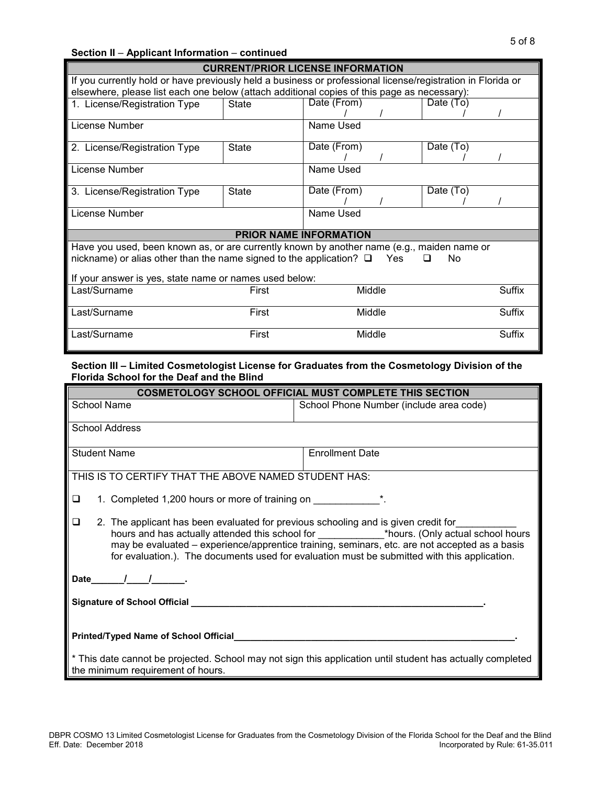| <b>CURRENT/PRIOR LICENSE INFORMATION</b>                                                                    |                                                                                             |             |  |           |        |
|-------------------------------------------------------------------------------------------------------------|---------------------------------------------------------------------------------------------|-------------|--|-----------|--------|
| If you currently hold or have previously held a business or professional license/registration in Florida or |                                                                                             |             |  |           |        |
|                                                                                                             | elsewhere, please list each one below (attach additional copies of this page as necessary): |             |  |           |        |
| <b>State</b><br>1. License/Registration Type                                                                |                                                                                             | Date (From) |  | Date (To) |        |
|                                                                                                             |                                                                                             |             |  |           |        |
| License Number                                                                                              |                                                                                             | Name Used   |  |           |        |
| 2. License/Registration Type                                                                                | <b>State</b>                                                                                | Date (From) |  | Date (To) |        |
|                                                                                                             |                                                                                             |             |  |           |        |
| License Number                                                                                              | Name Used                                                                                   |             |  |           |        |
| 3. License/Registration Type                                                                                | <b>State</b>                                                                                | Date (From) |  | Date (To) |        |
|                                                                                                             |                                                                                             |             |  |           |        |
| License Number                                                                                              |                                                                                             | Name Used   |  |           |        |
|                                                                                                             |                                                                                             |             |  |           |        |
| <b>PRIOR NAME INFORMATION</b>                                                                               |                                                                                             |             |  |           |        |
| Have you used, been known as, or are currently known by another name (e.g., maiden name or                  |                                                                                             |             |  |           |        |
| nickname) or alias other than the name signed to the application? $\square$<br>Yes<br>No<br>◻               |                                                                                             |             |  |           |        |
| If your answer is yes, state name or names used below:                                                      |                                                                                             |             |  |           |        |
| Last/Surname                                                                                                | First                                                                                       | Middle      |  |           | Suffix |
|                                                                                                             |                                                                                             |             |  |           |        |
| Last/Surname                                                                                                | First                                                                                       | Middle      |  |           | Suffix |
|                                                                                                             |                                                                                             |             |  |           |        |
| Last/Surname                                                                                                | First                                                                                       | Middle      |  |           | Suffix |
|                                                                                                             |                                                                                             |             |  |           |        |

## **Section III – Limited Cosmetologist License for Graduates from the Cosmetology Division of the Florida School for the Deaf and the Blind**

| <b>COSMETOLOGY SCHOOL OFFICIAL MUST COMPLETE THIS SECTION</b>                                                                                                                                                                                                                            |                                         |  |  |  |
|------------------------------------------------------------------------------------------------------------------------------------------------------------------------------------------------------------------------------------------------------------------------------------------|-----------------------------------------|--|--|--|
| School Name                                                                                                                                                                                                                                                                              | School Phone Number (include area code) |  |  |  |
| School Address                                                                                                                                                                                                                                                                           |                                         |  |  |  |
| <b>Student Name</b>                                                                                                                                                                                                                                                                      | <b>Enrollment Date</b>                  |  |  |  |
| THIS IS TO CERTIFY THAT THE ABOVE NAMED STUDENT HAS:                                                                                                                                                                                                                                     |                                         |  |  |  |
| 1. Completed 1,200 hours or more of training on _________________________________<br>□                                                                                                                                                                                                   |                                         |  |  |  |
| 2. The applicant has been evaluated for previous schooling and is given credit for<br>❏<br>may be evaluated - experience/apprentice training, seminars, etc. are not accepted as a basis<br>for evaluation.). The documents used for evaluation must be submitted with this application. |                                         |  |  |  |
| Date $\frac{1}{\sqrt{2}}$ .                                                                                                                                                                                                                                                              |                                         |  |  |  |
| Signature of School Official Learning Communication of School Official Learning Communication of the School School                                                                                                                                                                       |                                         |  |  |  |
|                                                                                                                                                                                                                                                                                          |                                         |  |  |  |
| * This date cannot be projected. School may not sign this application until student has actually completed<br>the minimum requirement of hours.                                                                                                                                          |                                         |  |  |  |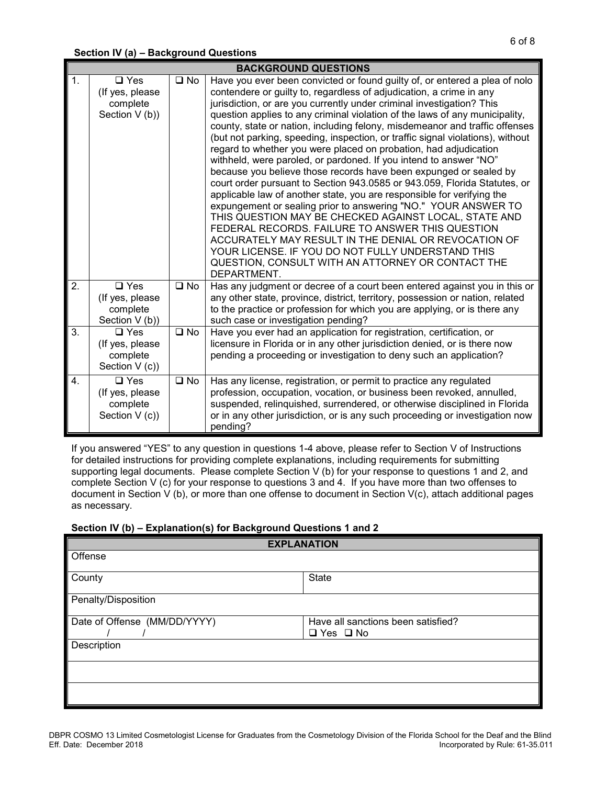### **Section IV (a) – Background Questions**

|                  | <b>BACKGROUND QUESTIONS</b>                                     |                      |                                                                                                                                                                                                                                                                                                                                                                                                                                                                                                                                                                                                                                                                                                                                                                                                                                                                                                                                                                                                                                                                                                                                                                                                                 |  |  |  |
|------------------|-----------------------------------------------------------------|----------------------|-----------------------------------------------------------------------------------------------------------------------------------------------------------------------------------------------------------------------------------------------------------------------------------------------------------------------------------------------------------------------------------------------------------------------------------------------------------------------------------------------------------------------------------------------------------------------------------------------------------------------------------------------------------------------------------------------------------------------------------------------------------------------------------------------------------------------------------------------------------------------------------------------------------------------------------------------------------------------------------------------------------------------------------------------------------------------------------------------------------------------------------------------------------------------------------------------------------------|--|--|--|
| $\mathbf{1}$ .   | $\square$ Yes<br>(If yes, please<br>complete<br>Section V (b))  | $\square$ No         | Have you ever been convicted or found guilty of, or entered a plea of nolo<br>contendere or guilty to, regardless of adjudication, a crime in any<br>jurisdiction, or are you currently under criminal investigation? This<br>question applies to any criminal violation of the laws of any municipality,<br>county, state or nation, including felony, misdemeanor and traffic offenses<br>(but not parking, speeding, inspection, or traffic signal violations), without<br>regard to whether you were placed on probation, had adjudication<br>withheld, were paroled, or pardoned. If you intend to answer "NO"<br>because you believe those records have been expunged or sealed by<br>court order pursuant to Section 943.0585 or 943.059, Florida Statutes, or<br>applicable law of another state, you are responsible for verifying the<br>expungement or sealing prior to answering "NO." YOUR ANSWER TO<br>THIS QUESTION MAY BE CHECKED AGAINST LOCAL, STATE AND<br>FEDERAL RECORDS. FAILURE TO ANSWER THIS QUESTION<br>ACCURATELY MAY RESULT IN THE DENIAL OR REVOCATION OF<br>YOUR LICENSE. IF YOU DO NOT FULLY UNDERSTAND THIS<br>QUESTION, CONSULT WITH AN ATTORNEY OR CONTACT THE<br>DEPARTMENT. |  |  |  |
| $\overline{2}$ . | $\Box$ Yes<br>(If yes, please<br>complete<br>Section V (b))     | $\overline{\Box}$ No | Has any judgment or decree of a court been entered against you in this or<br>any other state, province, district, territory, possession or nation, related<br>to the practice or profession for which you are applying, or is there any<br>such case or investigation pending?                                                                                                                                                                                                                                                                                                                                                                                                                                                                                                                                                                                                                                                                                                                                                                                                                                                                                                                                  |  |  |  |
| 3.               | $\Box$ Yes<br>(If yes, please<br>complete<br>Section V (c))     | $\square$ No         | Have you ever had an application for registration, certification, or<br>licensure in Florida or in any other jurisdiction denied, or is there now<br>pending a proceeding or investigation to deny such an application?                                                                                                                                                                                                                                                                                                                                                                                                                                                                                                                                                                                                                                                                                                                                                                                                                                                                                                                                                                                         |  |  |  |
| 4.               | $\square$ Yes<br>(If yes, please)<br>complete<br>Section V (c)) | $\square$ No         | Has any license, registration, or permit to practice any regulated<br>profession, occupation, vocation, or business been revoked, annulled,<br>suspended, relinquished, surrendered, or otherwise disciplined in Florida<br>or in any other jurisdiction, or is any such proceeding or investigation now<br>pending?                                                                                                                                                                                                                                                                                                                                                                                                                                                                                                                                                                                                                                                                                                                                                                                                                                                                                            |  |  |  |

If you answered "YES" to any question in questions 1-4 above, please refer to Section V of Instructions for detailed instructions for providing complete explanations, including requirements for submitting supporting legal documents. Please complete Section V (b) for your response to questions 1 and 2, and complete Section V (c) for your response to questions 3 and 4. If you have more than two offenses to document in Section V (b), or more than one offense to document in Section V(c), attach additional pages as necessary.

## **Section IV (b) – Explanation(s) for Background Questions 1 and 2**

| <b>EXPLANATION</b>           |                                                            |  |  |  |  |
|------------------------------|------------------------------------------------------------|--|--|--|--|
| Offense                      |                                                            |  |  |  |  |
| County                       | <b>State</b>                                               |  |  |  |  |
| Penalty/Disposition          |                                                            |  |  |  |  |
| Date of Offense (MM/DD/YYYY) | Have all sanctions been satisfied?<br>$\Box$ Yes $\Box$ No |  |  |  |  |
| Description                  |                                                            |  |  |  |  |
|                              |                                                            |  |  |  |  |
|                              |                                                            |  |  |  |  |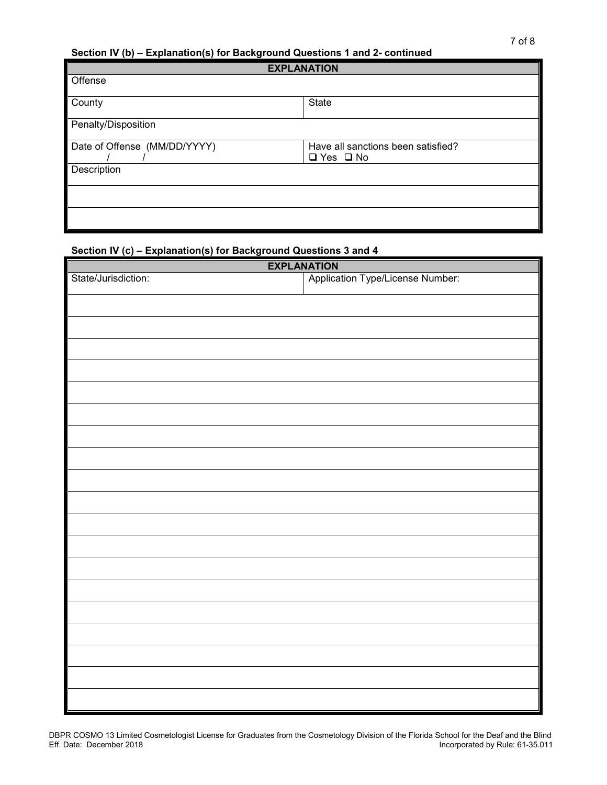## **Section IV (b) – Explanation(s) for Background Questions 1 and 2- continued**

| <b>EXPLANATION</b>           |                                    |  |  |  |  |
|------------------------------|------------------------------------|--|--|--|--|
| Offense                      |                                    |  |  |  |  |
| County                       | State                              |  |  |  |  |
|                              |                                    |  |  |  |  |
| Penalty/Disposition          |                                    |  |  |  |  |
| Date of Offense (MM/DD/YYYY) | Have all sanctions been satisfied? |  |  |  |  |
|                              | $\Box$ Yes $\Box$ No               |  |  |  |  |
| Description                  |                                    |  |  |  |  |
|                              |                                    |  |  |  |  |
|                              |                                    |  |  |  |  |
|                              |                                    |  |  |  |  |
|                              |                                    |  |  |  |  |
|                              |                                    |  |  |  |  |

# **Section IV (c) – Explanation(s) for Background Questions 3 and 4**

| <b>EXPLANATION</b>  |                                  |  |  |  |
|---------------------|----------------------------------|--|--|--|
| State/Jurisdiction: | Application Type/License Number: |  |  |  |
|                     |                                  |  |  |  |
|                     |                                  |  |  |  |
|                     |                                  |  |  |  |
|                     |                                  |  |  |  |
|                     |                                  |  |  |  |
|                     |                                  |  |  |  |
|                     |                                  |  |  |  |
|                     |                                  |  |  |  |
|                     |                                  |  |  |  |
|                     |                                  |  |  |  |
|                     |                                  |  |  |  |
|                     |                                  |  |  |  |
|                     |                                  |  |  |  |
|                     |                                  |  |  |  |
|                     |                                  |  |  |  |
|                     |                                  |  |  |  |
|                     |                                  |  |  |  |
|                     |                                  |  |  |  |
|                     |                                  |  |  |  |
|                     |                                  |  |  |  |
|                     |                                  |  |  |  |